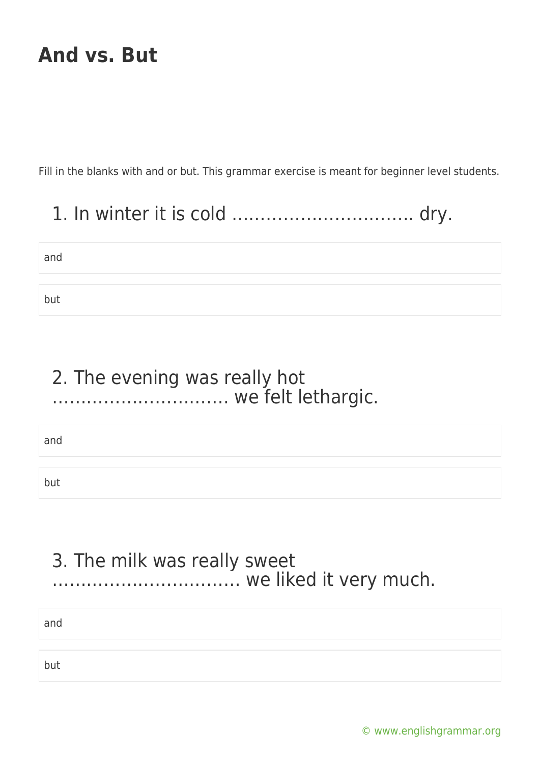Fill in the blanks with and or but. This grammar exercise is meant for beginner level students.

### 1. In winter it is cold ………………………….. dry.

| and |  |
|-----|--|
|     |  |
| but |  |

### 2. The evening was really hot …………………………. we felt lethargic.

and

but

### 3. The milk was really sweet …………………………… we liked it very much.

and

but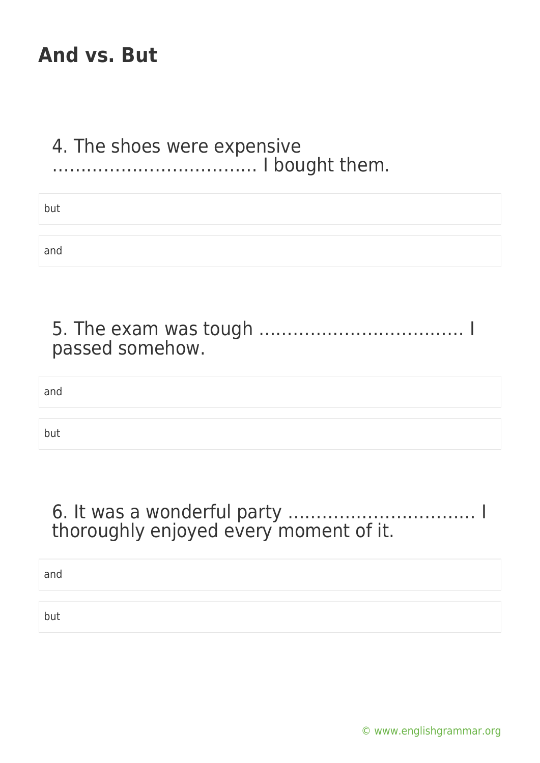#### 4. The shoes were expensive ……………………………… I bought them.

| but |  |
|-----|--|
|     |  |
| and |  |

| passed somehow. |  |
|-----------------|--|
| and             |  |
| but             |  |

### 6. It was a wonderful party …………………………… I thoroughly enjoyed every moment of it.

and

but

[© www.englishgrammar.org](https://www.englishgrammar.org/)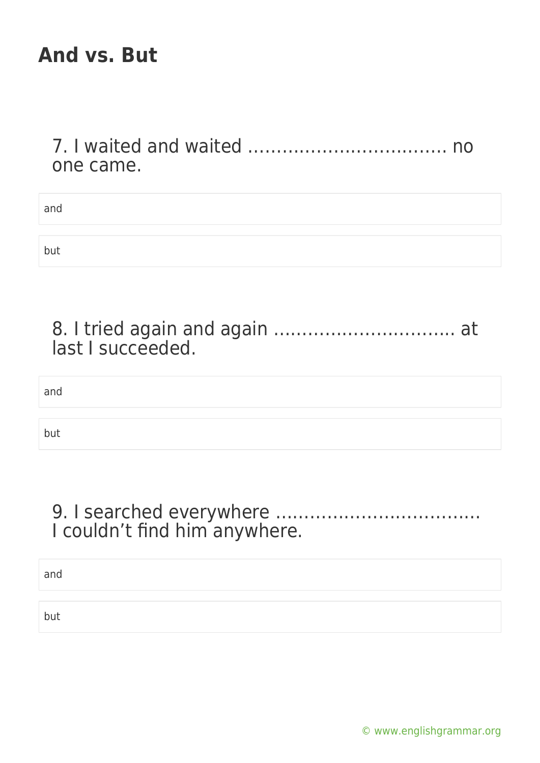#### 7. I waited and waited …………………………….. no one came.

| and |  |  |
|-----|--|--|
|     |  |  |
| but |  |  |

| last I succeeded. |  |
|-------------------|--|

and

but

### 9. I searched everywhere ……………………………… I couldn't find him anywhere.

and

but

[© www.englishgrammar.org](https://www.englishgrammar.org/)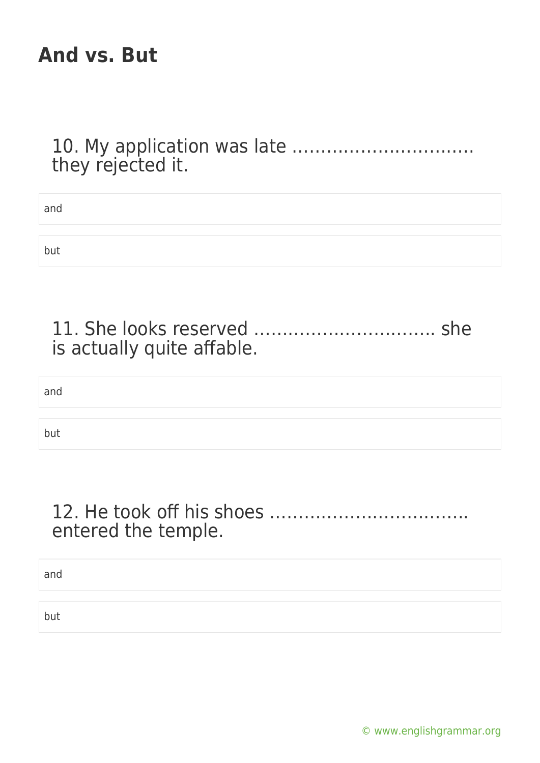10. My application was late ………………………….. they rejected it.

| and |  |  |  |
|-----|--|--|--|
|     |  |  |  |
| but |  |  |  |
|     |  |  |  |

| is actually quite affable. |  |
|----------------------------|--|

and

but

### 12. He took off his shoes …………………………….. entered the temple.

and

but

[© www.englishgrammar.org](https://www.englishgrammar.org/)